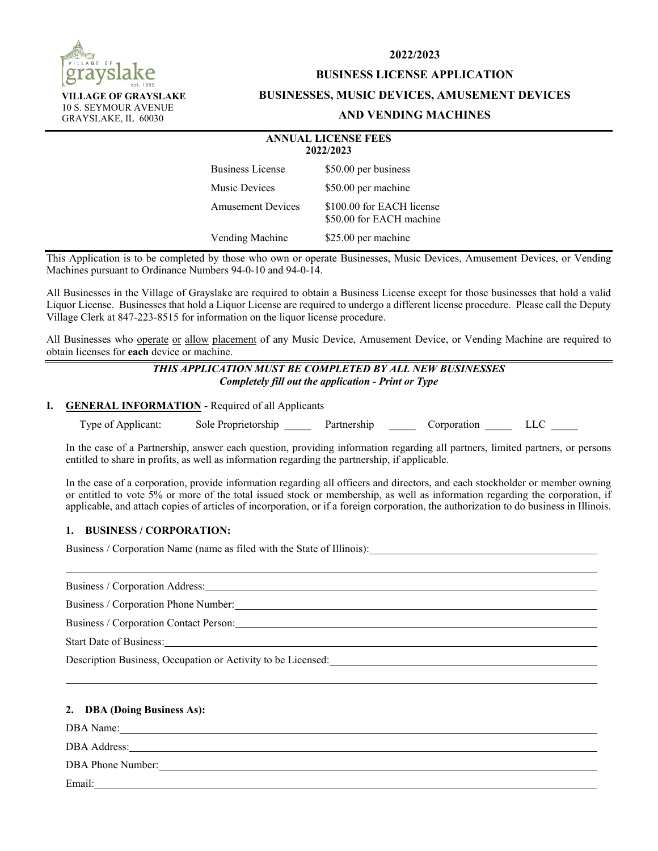

**VILLAGE OF GRAYSLAKE**  10 S. SEYMOUR AVENUE GRAYSLAKE, IL 60030

**2022/2023** 

## **BUSINESS LICENSE APPLICATION**

#### **BUSINESSES, MUSIC DEVICES, AMUSEMENT DEVICES**

## **AND VENDING MACHINES**

|                          | <b>ANNUAL LICENSE FEES</b><br>2022/2023               |
|--------------------------|-------------------------------------------------------|
| <b>Business License</b>  | \$50.00 per business                                  |
| Music Devices            | \$50.00 per machine                                   |
| <b>Amusement Devices</b> | \$100.00 for EACH license<br>\$50.00 for EACH machine |
| Vending Machine          | \$25.00 per machine                                   |

This Application is to be completed by those who own or operate Businesses, Music Devices, Amusement Devices, or Vending Machines pursuant to Ordinance Numbers 94-0-10 and 94-0-14.

All Businesses in the Village of Grayslake are required to obtain a Business License except for those businesses that hold a valid Liquor License. Businesses that hold a Liquor License are required to undergo a different license procedure. Please call the Deputy Village Clerk at 847-223-8515 for information on the liquor license procedure.

All Businesses who operate or allow placement of any Music Device, Amusement Device, or Vending Machine are required to obtain licenses for **each** device or machine.

## *THIS APPLICATION MUST BE COMPLETED BY ALL NEW BUSINESSES Completely fill out the application - Print or Type*

## **I. GENERAL INFORMATION** - Required of all Applicants

Type of Applicant: Sole Proprietorship Partnership Corporation LLC

 In the case of a Partnership, answer each question, providing information regarding all partners, limited partners, or persons entitled to share in profits, as well as information regarding the partnership, if applicable.

 In the case of a corporation, provide information regarding all officers and directors, and each stockholder or member owning or entitled to vote 5% or more of the total issued stock or membership, as well as information regarding the corporation, if applicable, and attach copies of articles of incorporation, or if a foreign corporation, the authorization to do business in Illinois.

## **1. BUSINESS / CORPORATION:**

Business / Corporation Name (name as filed with the State of Illinois):

Business / Corporation Address:

Business / Corporation Phone Number:

Business / Corporation Contact Person:

Start Date of Business:

Description Business, Occupation or Activity to be Licensed:

## **2. DBA (Doing Business As):**

DBA Name:

DBA Address:

DBA Phone Number:

Email: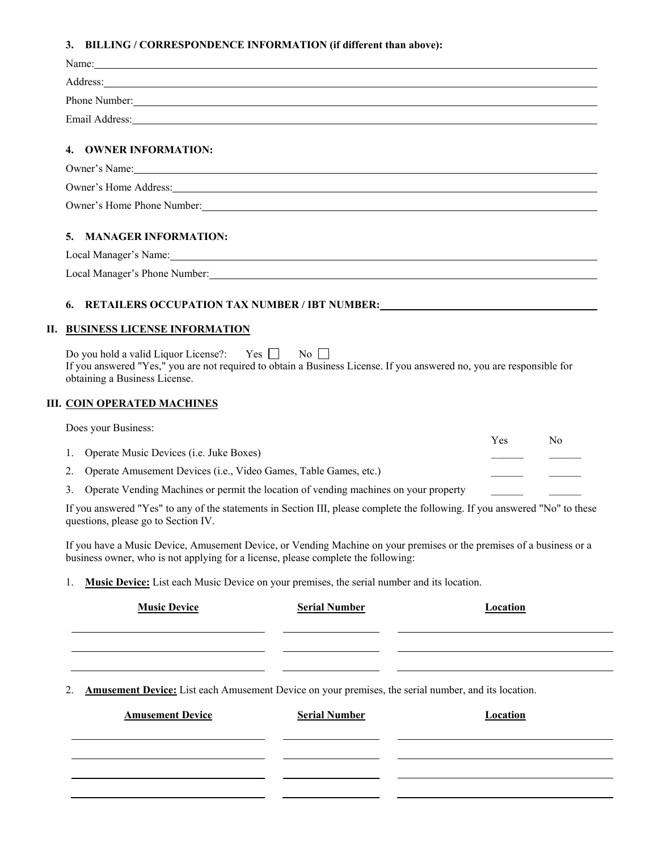## **3. BILLING / CORRESPONDENCE INFORMATION (if different than above):**

|                         | Phone Number: New York Contains the Contains of the Contains of the Contains of the Contains of the Contains of the Contains of the Contains of the Contains of the Contains of the Contains of the Contains of the Contains o |
|-------------------------|--------------------------------------------------------------------------------------------------------------------------------------------------------------------------------------------------------------------------------|
|                         |                                                                                                                                                                                                                                |
| 4. OWNER INFORMATION:   |                                                                                                                                                                                                                                |
|                         |                                                                                                                                                                                                                                |
|                         | Owner's Home Address: New York Changes and Second School and School and School and School and School and School and School and School and School and School and School and School and School and School and School and School  |
|                         | Owner's Home Phone Number:                                                                                                                                                                                                     |
| 5. MANAGER INFORMATION: |                                                                                                                                                                                                                                |
|                         |                                                                                                                                                                                                                                |

**6. RETAILERS OCCUPATION TAX NUMBER / IBT NUMBER:** 

## **II. BUSINESS LICENSE INFORMATION**

Local Manager's Phone Number:

Do you hold a valid Liquor License?: Yes  $\Box$  No  $\Box$ If you answered "Yes," you are not required to obtain a Business License. If you answered no, you are responsible for obtaining a Business License.

## **III. COIN OPERATED MACHINES**

|    | Does your Business:                                                                  |     |    |
|----|--------------------------------------------------------------------------------------|-----|----|
|    | 1. Operate Music Devices ( <i>i.e.</i> Juke Boxes)                                   | Yes | No |
|    | Operate Amusement Devices (i.e., Video Games, Table Games, etc.)                     |     |    |
| 3. | Operate Vending Machines or permit the location of vending machines on your property |     |    |
|    |                                                                                      |     |    |

 If you answered "Yes" to any of the statements in Section III, please complete the following. If you answered "No" to these questions, please go to Section IV.

 If you have a Music Device, Amusement Device, or Vending Machine on your premises or the premises of a business or a business owner, who is not applying for a license, please complete the following:

1. **Music Device:** List each Music Device on your premises, the serial number and its location.

| <b>Music Device</b>                                                                                        | <b>Serial Number</b> | Location        |
|------------------------------------------------------------------------------------------------------------|----------------------|-----------------|
|                                                                                                            |                      |                 |
| <b>Amusement Device:</b> List each Amusement Device on your premises, the serial number, and its location. |                      |                 |
| <b>Amusement Device</b>                                                                                    | <b>Serial Number</b> | <b>Location</b> |
|                                                                                                            |                      |                 |
|                                                                                                            |                      |                 |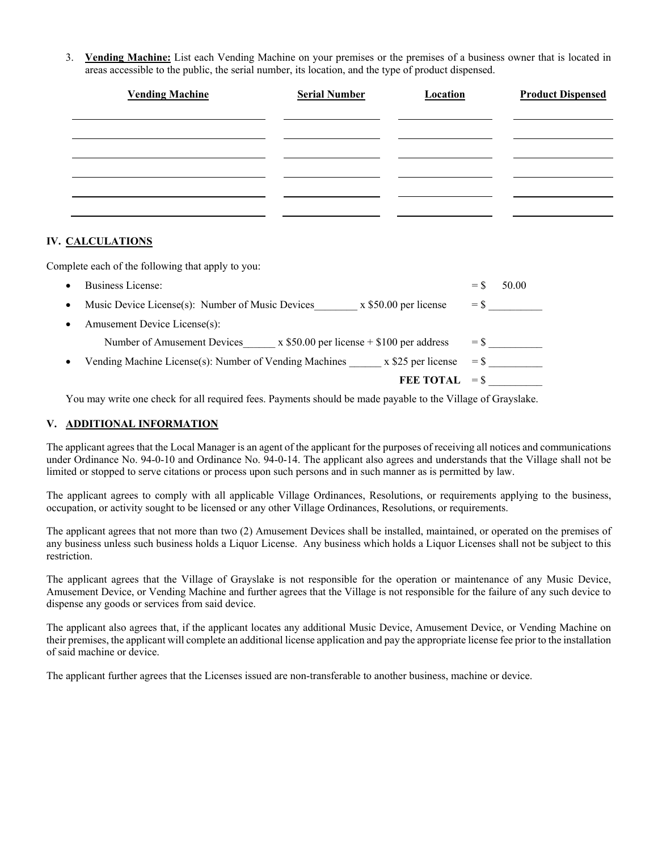3. **Vending Machine:** List each Vending Machine on your premises or the premises of a business owner that is located in areas accessible to the public, the serial number, its location, and the type of product dispensed.

| <b>Vending Machine</b> | <b>Serial Number</b> | <b>Location</b> | <b>Product Dispensed</b> |
|------------------------|----------------------|-----------------|--------------------------|
|                        |                      |                 |                          |
|                        |                      |                 |                          |
|                        |                      |                 |                          |
|                        |                      |                 |                          |
|                        |                      |                 |                          |

## **IV. CALCULATIONS**

Complete each of the following that apply to you:

| <b>Business License:</b>                                                     | $=$ $\mathbf{S}$ | 50.00 |
|------------------------------------------------------------------------------|------------------|-------|
| Music Device License(s): Number of Music Devices<br>$x$ \$50.00 per license  | $=$ \$           |       |
| Amusement Device License(s):                                                 |                  |       |
| $x$ \$50.00 per license + \$100 per address<br>Number of Amusement Devices   | $=$ \$           |       |
| Vending Machine License(s): Number of Vending Machines<br>x \$25 per license | $=$ \$           |       |
| <b>FEE TOTAL</b>                                                             | $=$ \$           |       |

You may write one check for all required fees. Payments should be made payable to the Village of Grayslake.

## **V. ADDITIONAL INFORMATION**

The applicant agrees that the Local Manager is an agent of the applicant for the purposes of receiving all notices and communications under Ordinance No. 94-0-10 and Ordinance No. 94-0-14. The applicant also agrees and understands that the Village shall not be limited or stopped to serve citations or process upon such persons and in such manner as is permitted by law.

The applicant agrees to comply with all applicable Village Ordinances, Resolutions, or requirements applying to the business, occupation, or activity sought to be licensed or any other Village Ordinances, Resolutions, or requirements.

The applicant agrees that not more than two (2) Amusement Devices shall be installed, maintained, or operated on the premises of any business unless such business holds a Liquor License. Any business which holds a Liquor Licenses shall not be subject to this restriction.

The applicant agrees that the Village of Grayslake is not responsible for the operation or maintenance of any Music Device, Amusement Device, or Vending Machine and further agrees that the Village is not responsible for the failure of any such device to dispense any goods or services from said device.

The applicant also agrees that, if the applicant locates any additional Music Device, Amusement Device, or Vending Machine on their premises, the applicant will complete an additional license application and pay the appropriate license fee prior to the installation of said machine or device.

The applicant further agrees that the Licenses issued are non-transferable to another business, machine or device.